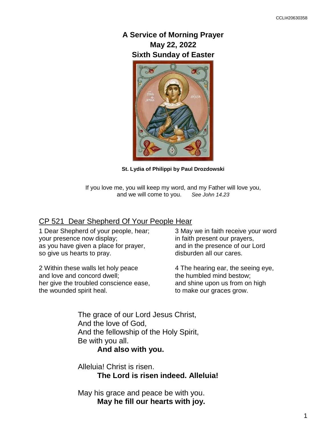# **A Service of Morning Prayer May 22, 2022 Sixth Sunday of Easter**



**St. Lydia of Philippi by Paul Drozdowski**

If you love me, you will keep my word, and my Father will love you, and we will come to you. *See John 14.23*

### CP 521 Dear Shepherd Of Your People Hear

1 Dear Shepherd of your people, hear; your presence now display; as you have given a place for prayer, so give us hearts to pray.

2 Within these walls let holy peace and love and concord dwell; her give the troubled conscience ease, the wounded spirit heal.

3 May we in faith receive your word in faith present our prayers, and in the presence of our Lord disburden all our cares.

4 The hearing ear, the seeing eye, the humbled mind bestow; and shine upon us from on high to make our graces grow.

The grace of our Lord Jesus Christ, And the love of God, And the fellowship of the Holy Spirit, Be with you all.

## **And also with you.**

Alleluia! Christ is risen. **The Lord is risen indeed. Alleluia!**

May his grace and peace be with you. **May he fill our hearts with joy.**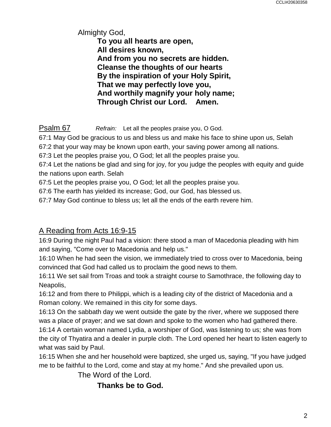Almighty God, **To you all hearts are open, All desires known, And from you no secrets are hidden. Cleanse the thoughts of our hearts By the inspiration of your Holy Spirit, That we may perfectly love you, And worthily magnify your holy name; Through Christ our Lord. Amen.**

Psalm 67 *Refrain:* Let all the peoples praise you, O God.

67:1 May God be gracious to us and bless us and make his face to shine upon us, Selah

67:2 that your way may be known upon earth, your saving power among all nations.

67:3 Let the peoples praise you, O God; let all the peoples praise you.

67:4 Let the nations be glad and sing for joy, for you judge the peoples with equity and guide the nations upon earth. Selah

67:5 Let the peoples praise you, O God; let all the peoples praise you.

67:6 The earth has yielded its increase; God, our God, has blessed us.

67:7 May God continue to bless us; let all the ends of the earth revere him.

## A Reading from Acts 16:9-15

16:9 During the night Paul had a vision: there stood a man of Macedonia pleading with him and saying, "Come over to Macedonia and help us."

16:10 When he had seen the vision, we immediately tried to cross over to Macedonia, being convinced that God had called us to proclaim the good news to them.

16:11 We set sail from Troas and took a straight course to Samothrace, the following day to Neapolis,

16:12 and from there to Philippi, which is a leading city of the district of Macedonia and a Roman colony. We remained in this city for some days.

16:13 On the sabbath day we went outside the gate by the river, where we supposed there was a place of prayer; and we sat down and spoke to the women who had gathered there.

16:14 A certain woman named Lydia, a worshiper of God, was listening to us; she was from the city of Thyatira and a dealer in purple cloth. The Lord opened her heart to listen eagerly to what was said by Paul.

16:15 When she and her household were baptized, she urged us, saying, "If you have judged me to be faithful to the Lord, come and stay at my home." And she prevailed upon us.

The Word of the Lord.

**Thanks be to God.**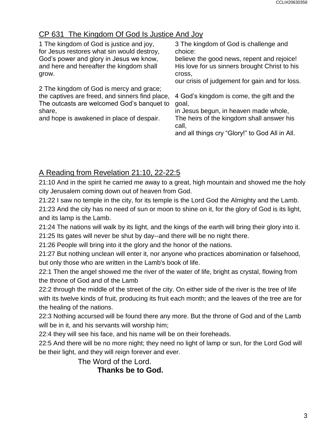# CP 631 The Kingdom Of God Is Justice And Joy

| 1 The kingdom of God is justice and joy,                                                                                                             | 3 The kingdom of God is challenge and                                                                                                                                                               |
|------------------------------------------------------------------------------------------------------------------------------------------------------|-----------------------------------------------------------------------------------------------------------------------------------------------------------------------------------------------------|
| for Jesus restores what sin would destroy,                                                                                                           | choice:                                                                                                                                                                                             |
| God's power and glory in Jesus we know,                                                                                                              | believe the good news, repent and rejoice!                                                                                                                                                          |
| and here and hereafter the kingdom shall                                                                                                             | His love for us sinners brought Christ to his                                                                                                                                                       |
| grow.                                                                                                                                                | cross,                                                                                                                                                                                              |
| 2 The kingdom of God is mercy and grace;                                                                                                             | our crisis of judgement for gain and for loss.                                                                                                                                                      |
| the captives are freed, and sinners find place,<br>The outcasts are welcomed God's banquet to<br>share,<br>and hope is awakened in place of despair. | 4 God's kingdom is come, the gift and the<br>goal,<br>in Jesus begun, in heaven made whole,<br>The heirs of the kingdom shall answer his<br>call,<br>and all things cry "Glory!" to God All in All. |

# A Reading from Revelation 21:10, 22-22:5

21:10 And in the spirit he carried me away to a great, high mountain and showed me the holy city Jerusalem coming down out of heaven from God.

21:22 I saw no temple in the city, for its temple is the Lord God the Almighty and the Lamb.

21:23 And the city has no need of sun or moon to shine on it, for the glory of God is its light, and its lamp is the Lamb.

21:24 The nations will walk by its light, and the kings of the earth will bring their glory into it.

21:25 Its gates will never be shut by day--and there will be no night there.

21:26 People will bring into it the glory and the honor of the nations.

21:27 But nothing unclean will enter it, nor anyone who practices abomination or falsehood, but only those who are written in the Lamb's book of life.

22:1 Then the angel showed me the river of the water of life, bright as crystal, flowing from the throne of God and of the Lamb

22:2 through the middle of the street of the city. On either side of the river is the tree of life with its twelve kinds of fruit, producing its fruit each month; and the leaves of the tree are for the healing of the nations.

22:3 Nothing accursed will be found there any more. But the throne of God and of the Lamb will be in it, and his servants will worship him;

22:4 they will see his face, and his name will be on their foreheads.

22:5 And there will be no more night; they need no light of lamp or sun, for the Lord God will be their light, and they will reign forever and ever.

The Word of the Lord.

**Thanks be to God.**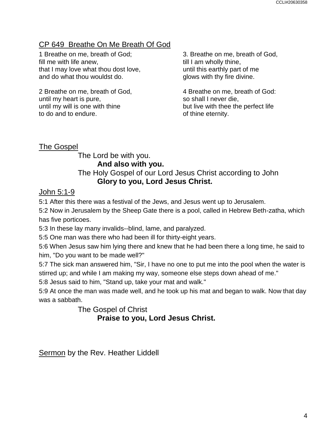# CP 649 Breathe On Me Breath Of God

1 Breathe on me, breath of God; fill me with life anew, that I may love what thou dost love, and do what thou wouldst do.

2 Breathe on me, breath of God, until my heart is pure, until my will is one with thine to do and to endure.

3. Breathe on me, breath of God, till I am wholly thine, until this earthly part of me glows with thy fire divine.

4 Breathe on me, breath of God: so shall I never die, but live with thee the perfect life of thine eternity.

The Gospel

### The Lord be with you. **And also with you.** The Holy Gospel of our Lord Jesus Christ according to John **Glory to you, Lord Jesus Christ.**

## John 5:1-9

5:1 After this there was a festival of the Jews, and Jesus went up to Jerusalem.

5:2 Now in Jerusalem by the Sheep Gate there is a pool, called in Hebrew Beth-zatha, which has five porticoes.

5:3 In these lay many invalids--blind, lame, and paralyzed.

5:5 One man was there who had been ill for thirty-eight years.

5:6 When Jesus saw him lying there and knew that he had been there a long time, he said to him, "Do you want to be made well?"

5:7 The sick man answered him, "Sir, I have no one to put me into the pool when the water is stirred up; and while I am making my way, someone else steps down ahead of me."

5:8 Jesus said to him, "Stand up, take your mat and walk."

5:9 At once the man was made well, and he took up his mat and began to walk. Now that day was a sabbath.

The Gospel of Christ

**Praise to you, Lord Jesus Christ.**

Sermon by the Rev. Heather Liddell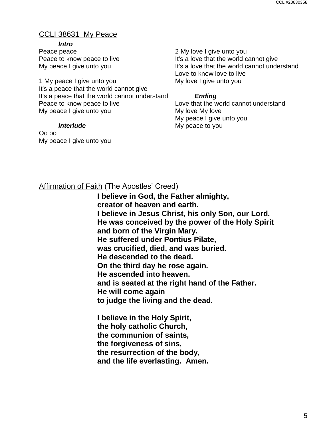# CCLI 38631 My Peace

### *Intro*

Peace peace Peace to know peace to live My peace I give unto you

1 My peace I give unto you It's a peace that the world cannot give It's a peace that the world cannot understand Peace to know peace to live My peace I give unto you

### *Interlude*

Oo oo My peace I give unto you 2 My love I give unto you It's a love that the world cannot give It's a love that the world cannot understand Love to know love to live My love I give unto you

## *Ending*

Love that the world cannot understand My love My love My peace I give unto you My peace to you

# Affirmation of Faith (The Apostles' Creed)

**I believe in God, the Father almighty, creator of heaven and earth. I believe in Jesus Christ, his only Son, our Lord. He was conceived by the power of the Holy Spirit and born of the Virgin Mary. He suffered under Pontius Pilate, was crucified, died, and was buried. He descended to the dead. On the third day he rose again. He ascended into heaven. and is seated at the right hand of the Father. He will come again to judge the living and the dead.**

**I believe in the Holy Spirit, the holy catholic Church, the communion of saints, the forgiveness of sins, the resurrection of the body, and the life everlasting. Amen.**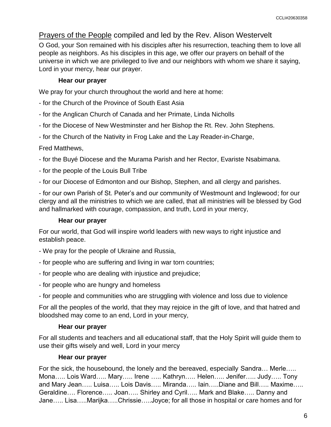## Prayers of the People compiled and led by the Rev. Alison Westervelt

O God, your Son remained with his disciples after his resurrection, teaching them to love all people as neighbors. As his disciples in this age, we offer our prayers on behalf of the universe in which we are privileged to live and our neighbors with whom we share it saying, Lord in your mercy, hear our prayer.

### **Hear our prayer**

We pray for your church throughout the world and here at home:

- for the Church of the Province of South East Asia
- for the Anglican Church of Canada and her Primate, Linda Nicholls
- for the Diocese of New Westminster and her Bishop the Rt. Rev. John Stephens.
- for the Church of the Nativity in Frog Lake and the Lay Reader-in-Charge,

### Fred Matthews,

- for the Buyé Diocese and the Murama Parish and her Rector, Evariste Nsabimana.
- for the people of the Louis Bull Tribe
- for our Diocese of Edmonton and our Bishop, Stephen, and all clergy and parishes.

- for our own Parish of St. Peter's and our community of Westmount and Inglewood; for our clergy and all the ministries to which we are called, that all ministries will be blessed by God and hallmarked with courage, compassion, and truth, Lord in your mercy,

### **Hear our prayer**

For our world, that God will inspire world leaders with new ways to right injustice and establish peace.

- We pray for the people of Ukraine and Russia,
- for people who are suffering and living in war torn countries;
- for people who are dealing with injustice and prejudice;
- for people who are hungry and homeless

- for people and communities who are struggling with violence and loss due to violence

For all the peoples of the world, that they may rejoice in the gift of love, and that hatred and bloodshed may come to an end, Lord in your mercy,

### **Hear our prayer**

For all students and teachers and all educational staff, that the Holy Spirit will guide them to use their gifts wisely and well, Lord in your mercy

### **Hear our prayer**

For the sick, the housebound, the lonely and the bereaved, especially Sandra… Merle….. Mona….. Lois Ward….. Mary….. Irene ….. Kathryn….. Helen….. Jenifer….. Judy….. Tony and Mary Jean….. Luisa….. Lois Davis….. Miranda….. Iain…..Diane and Bill….. Maxime….. Geraldine…. Florence….. Joan….. Shirley and Cyril….. Mark and Blake….. Danny and Jane….. Lisa…..Marijka…..Chrissie…..Joyce; for all those in hospital or care homes and for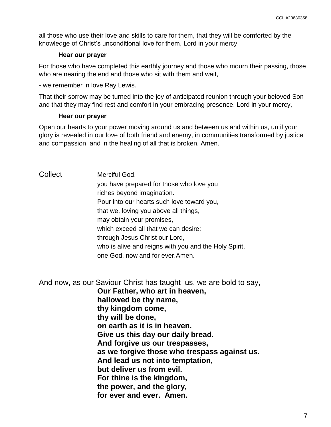all those who use their love and skills to care for them, that they will be comforted by the knowledge of Christ's unconditional love for them, Lord in your mercy

#### **Hear our prayer**

For those who have completed this earthly journey and those who mourn their passing, those who are nearing the end and those who sit with them and wait,

- we remember in love Ray Lewis.

That their sorrow may be turned into the joy of anticipated reunion through your beloved Son and that they may find rest and comfort in your embracing presence, Lord in your mercy,

#### **Hear our prayer**

Open our hearts to your power moving around us and between us and within us, until your glory is revealed in our love of both friend and enemy, in communities transformed by justice and compassion, and in the healing of all that is broken. Amen.

### Collect Merciful God,

you have prepared for those who love you riches beyond imagination. Pour into our hearts such love toward you, that we, loving you above all things, may obtain your promises, which exceed all that we can desire; through Jesus Christ our Lord, who is alive and reigns with you and the Holy Spirit, one God, now and for ever.Amen.

And now, as our Saviour Christ has taught us, we are bold to say,

**Our Father, who art in heaven, hallowed be thy name, thy kingdom come, thy will be done, on earth as it is in heaven. Give us this day our daily bread. And forgive us our trespasses, as we forgive those who trespass against us. And lead us not into temptation, but deliver us from evil. For thine is the kingdom, the power, and the glory, for ever and ever. Amen.**